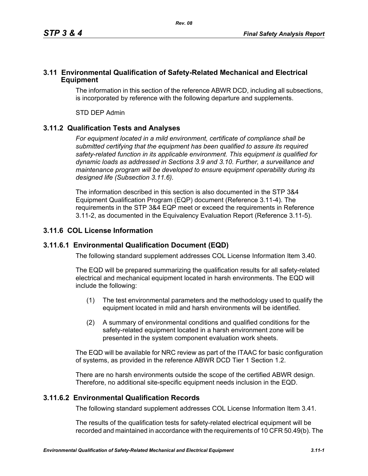#### **3.11 Environmental Qualification of Safety-Related Mechanical and Electrical Equipment**

The information in this section of the reference ABWR DCD, including all subsections, is incorporated by reference with the following departure and supplements.

STD DEP Admin

# **3.11.2 Qualification Tests and Analyses**

*For equipment located in a mild environment, certificate of compliance shall be submitted certifying that the equipment has been qualified to assure its required safety-related function in its applicable environment. This equipment is qualified for dynamic loads as addressed in Sections 3.9 and 3.10. Further, a surveillance and maintenance program will be developed to ensure equipment operability during its designed life (Subsection 3.11.6).*

The information described in this section is also documented in the STP 3&4 Equipment Qualification Program (EQP) document (Reference 3.11-4). The requirements in the STP 3&4 EQP meet or exceed the requirements in Reference 3.11-2, as documented in the Equivalency Evaluation Report (Reference 3.11-5).

# **3.11.6 COL License Information**

### **3.11.6.1 Environmental Qualification Document (EQD)**

The following standard supplement addresses COL License Information Item 3.40.

The EQD will be prepared summarizing the qualification results for all safety-related electrical and mechanical equipment located in harsh environments. The EQD will include the following:

- (1) The test environmental parameters and the methodology used to qualify the equipment located in mild and harsh environments will be identified.
- (2) A summary of environmental conditions and qualified conditions for the safety-related equipment located in a harsh environment zone will be presented in the system component evaluation work sheets.

The EQD will be available for NRC review as part of the ITAAC for basic configuration of systems, as provided in the reference ABWR DCD Tier 1 Section 1.2.

There are no harsh environments outside the scope of the certified ABWR design. Therefore, no additional site-specific equipment needs inclusion in the EQD.

### **3.11.6.2 Environmental Qualification Records**

The following standard supplement addresses COL License Information Item 3.41.

The results of the qualification tests for safety-related electrical equipment will be recorded and maintained in accordance with the requirements of 10 CFR 50.49(b). The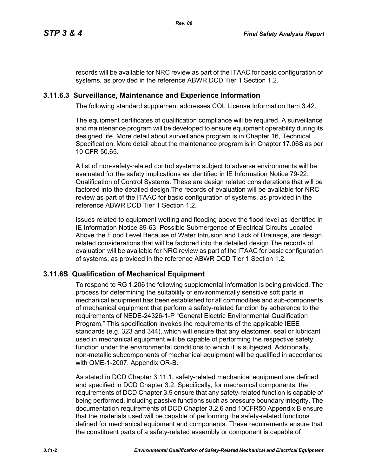records will be available for NRC review as part of the ITAAC for basic configuration of systems, as provided in the reference ABWR DCD Tier 1 Section 1.2.

### **3.11.6.3 Surveillance, Maintenance and Experience Information**

The following standard supplement addresses COL License Information Item 3.42.

The equipment certificates of qualification compliance will be required. A surveillance and maintenance program will be developed to ensure equipment operability during its designed life. More detail about surveillance program is in Chapter 16, Technical Specification. More detail about the maintenance program is in Chapter 17.06S as per 10 CFR 50.65.

A list of non-safety-related control systems subject to adverse environments will be evaluated for the safety implications as identified in IE Information Notice 79-22, Qualification of Control Systems. These are design related considerations that will be factored into the detailed design.The records of evaluation will be available for NRC review as part of the ITAAC for basic configuration of systems, as provided in the reference ABWR DCD Tier 1 Section 1.2.

Issues related to equipment wetting and flooding above the flood level as identified in IE Information Notice 89-63, Possible Submergence of Electrical Circuits Located Above the Flood Level Because of Water Intrusion and Lack of Drainage, are design related considerations that will be factored into the detailed design.The records of evaluation will be available for NRC review as part of the ITAAC for basic configuration of systems, as provided in the reference ABWR DCD Tier 1 Section 1.2.

### **3.11.6S Qualification of Mechanical Equipment**

To respond to RG 1.206 the following supplemental information is being provided. The process for determining the suitability of environmentally sensitive soft parts in mechanical equipment has been established for all commodities and sub-components of mechanical equipment that perform a safety-related function by adherence to the requirements of NEDE-24326-1-P "General Electric Environmental Qualification Program." This specification invokes the requirements of the applicable IEEE standards (e.g. 323 and 344), which will ensure that any elastomer, seal or lubricant used in mechanical equipment will be capable of performing the respective safety function under the environmental conditions to which it is subjected. Additionally, non-metallic subcomponents of mechanical equipment will be qualified in accordance with QME-1-2007, Appendix QR-B.

As stated in DCD Chapter 3.11.1, safety-related mechanical equipment are defined and specified in DCD Chapter 3.2. Specifically, for mechanical components, the requirements of DCD Chapter 3.9 ensure that any safety-related function is capable of being performed, including passive functions such as pressure boundary integrity. The documentation requirements of DCD Chapter 3.2.6 and 10CFR50 Appendix B ensure that the materials used will be capable of performing the safety-related functions defined for mechanical equipment and components. These requirements ensure that the constituent parts of a safety-related assembly or component is capable of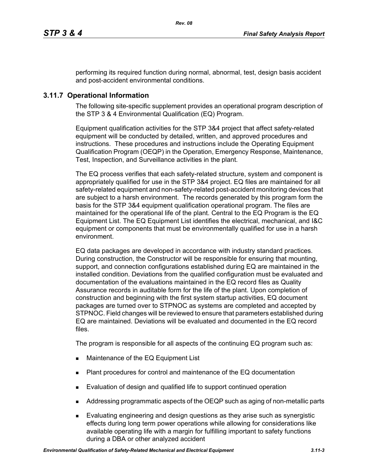performing its required function during normal, abnormal, test, design basis accident and post-accident environmental conditions.

### **3.11.7 Operational Information**

The following site-specific supplement provides an operational program description of the STP 3 & 4 Environmental Qualification (EQ) Program.

Equipment qualification activities for the STP 3&4 project that affect safety-related equipment will be conducted by detailed, written, and approved procedures and instructions. These procedures and instructions include the Operating Equipment Qualification Program (OEQP) in the Operation, Emergency Response, Maintenance, Test, Inspection, and Surveillance activities in the plant.

The EQ process verifies that each safety-related structure, system and component is appropriately qualified for use in the STP 3&4 project. EQ files are maintained for all safety-related equipment and non-safety-related post-accident monitoring devices that are subject to a harsh environment. The records generated by this program form the basis for the STP 3&4 equipment qualification operational program. The files are maintained for the operational life of the plant. Central to the EQ Program is the EQ Equipment List. The EQ Equipment List identifies the electrical, mechanical, and I&C equipment or components that must be environmentally qualified for use in a harsh environment.

EQ data packages are developed in accordance with industry standard practices. During construction, the Constructor will be responsible for ensuring that mounting, support, and connection configurations established during EQ are maintained in the installed condition. Deviations from the qualified configuration must be evaluated and documentation of the evaluations maintained in the EQ record files as Quality Assurance records in auditable form for the life of the plant. Upon completion of construction and beginning with the first system startup activities, EQ document packages are turned over to STPNOC as systems are completed and accepted by STPNOC. Field changes will be reviewed to ensure that parameters established during EQ are maintained. Deviations will be evaluated and documented in the EQ record files.

The program is responsible for all aspects of the continuing EQ program such as:

- **Maintenance of the EQ Equipment List**
- Plant procedures for control and maintenance of the EQ documentation
- **Evaluation of design and qualified life to support continued operation**
- Addressing programmatic aspects of the OEQP such as aging of non-metallic parts
- Evaluating engineering and design questions as they arise such as synergistic effects during long term power operations while allowing for considerations like available operating life with a margin for fulfilling important to safety functions during a DBA or other analyzed accident